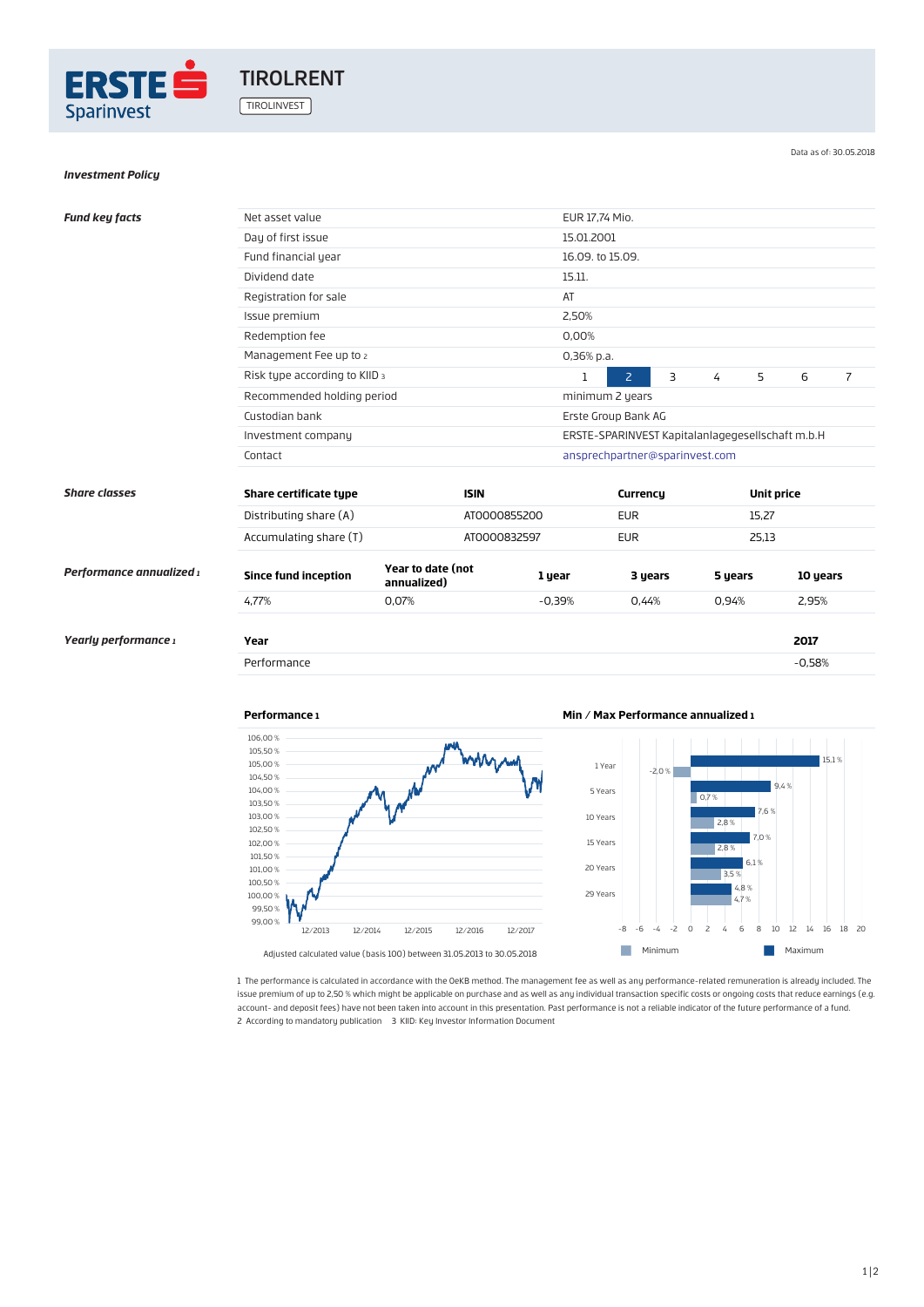

# *Investment Policy*

Data as of: 30.05.2018

| <b>Fund key facts</b>    | Net asset value               |                                  |              | EUR 17,74 Mio.                                   |                                |   |            |       |                |  |
|--------------------------|-------------------------------|----------------------------------|--------------|--------------------------------------------------|--------------------------------|---|------------|-------|----------------|--|
|                          | Day of first issue            |                                  |              | 15.01.2001                                       |                                |   |            |       |                |  |
|                          | Fund financial year           |                                  |              | 16.09. to 15.09.                                 |                                |   |            |       |                |  |
|                          | Dividend date                 |                                  |              | 15.11.                                           |                                |   |            |       |                |  |
|                          | Registration for sale         |                                  |              | AT                                               |                                |   |            |       |                |  |
|                          | Issue premium                 |                                  |              | 2,50%                                            |                                |   |            |       |                |  |
|                          | Redemption fee                |                                  |              | 0,00%                                            |                                |   |            |       |                |  |
|                          | Management Fee up to 2        |                                  |              | 0,36% p.a.                                       |                                |   |            |       |                |  |
|                          | Risk type according to KIID 3 |                                  | 1            | $\overline{2}$                                   | $\overline{3}$                 | 4 | 5          | 6     | $\overline{7}$ |  |
|                          | Recommended holding period    |                                  |              | minimum 2 years                                  |                                |   |            |       |                |  |
|                          | Custodian bank                |                                  |              | Erste Group Bank AG                              |                                |   |            |       |                |  |
|                          | Investment company            |                                  |              | ERSTE-SPARINVEST Kapitalanlagegesellschaft m.b.H |                                |   |            |       |                |  |
|                          | Contact                       |                                  |              |                                                  | ansprechpartner@sparinvest.com |   |            |       |                |  |
|                          |                               |                                  |              |                                                  |                                |   |            |       |                |  |
| <b>Share classes</b>     | Share certificate type        |                                  | <b>ISIN</b>  |                                                  | Currency                       |   | Unit price |       |                |  |
|                          | Distributing share (A)        |                                  | AT0000855200 |                                                  | <b>EUR</b>                     |   |            | 15,27 |                |  |
|                          | Accumulating share (T)        |                                  | AT0000832597 |                                                  | <b>EUR</b>                     |   |            | 25,13 |                |  |
| Performance annualized 1 | <b>Since fund inception</b>   | Year to date (not<br>annualized) |              | 1 year                                           | 3 years                        |   | 5 years    |       | 10 years       |  |
|                          | 4,77%                         | 0,07%                            |              | $-0.39%$                                         | 0.44%                          |   | 0.94%      |       | 2,95%          |  |
|                          |                               |                                  |              |                                                  |                                |   |            |       |                |  |
| Yearly performance 1     | Year                          |                                  |              |                                                  |                                |   |            |       | 2017           |  |
|                          | Performance                   |                                  |              |                                                  |                                |   |            |       | $-0,58%$       |  |
|                          |                               |                                  |              |                                                  |                                |   |            |       |                |  |





1 The performance is calculated in accordance with the OeKB method. The management fee as well as any performance-related remuneration is already included. The issue premium of up to 2,50 % which might be applicable on purchase and as well as any individual transaction specific costs or ongoing costs that reduce earnings (e.g. account- and deposit fees) have not been taken into account in this presentation. Past performance is not a reliable indicator of the future performance of a fund. 2 According to mandatory publication 3 KIID: Key Investor Information Document

1|2